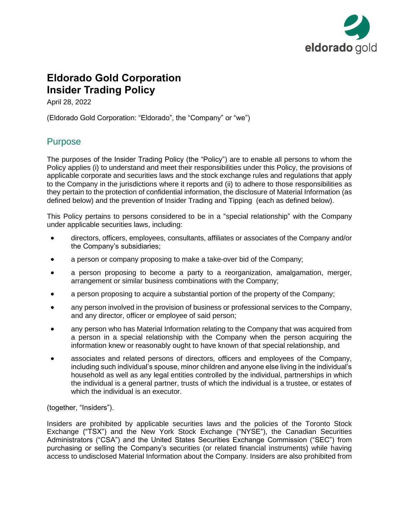

# **Eldorado Gold Corporation Insider Trading Policy**

April 28, 2022

(Eldorado Gold Corporation: "Eldorado", the "Company" or "we")

## **Purpose**

The purposes of the Insider Trading Policy (the "Policy") are to enable all persons to whom the Policy applies (i) to understand and meet their responsibilities under this Policy, the provisions of applicable corporate and securities laws and the stock exchange rules and regulations that apply to the Company in the jurisdictions where it reports and (ii) to adhere to those responsibilities as they pertain to the protection of confidential information, the disclosure of Material Information (as defined below) and the prevention of Insider Trading and Tipping (each as defined below).

This Policy pertains to persons considered to be in a "special relationship" with the Company under applicable securities laws, including:

- directors, officers, employees, consultants, affiliates or associates of the Company and/or the Company's subsidiaries;
- a person or company proposing to make a take-over bid of the Company;
- a person proposing to become a party to a reorganization, amalgamation, merger, arrangement or similar business combinations with the Company;
- a person proposing to acquire a substantial portion of the property of the Company;
- any person involved in the provision of business or professional services to the Company, and any director, officer or employee of said person;
- any person who has Material Information relating to the Company that was acquired from a person in a special relationship with the Company when the person acquiring the information knew or reasonably ought to have known of that special relationship, and
- associates and related persons of directors, officers and employees of the Company, including such individual's spouse, minor children and anyone else living in the individual's household as well as any legal entities controlled by the individual, partnerships in which the individual is a general partner, trusts of which the individual is a trustee, or estates of which the individual is an executor.

(together, "Insiders").

Insiders are prohibited by applicable securities laws and the policies of the Toronto Stock Exchange ("TSX") and the New York Stock Exchange ("NYSE"), the Canadian Securities Administrators ("CSA") and the United States Securities Exchange Commission ("SEC") from purchasing or selling the Company's securities (or related financial instruments) while having access to undisclosed Material Information about the Company. Insiders are also prohibited from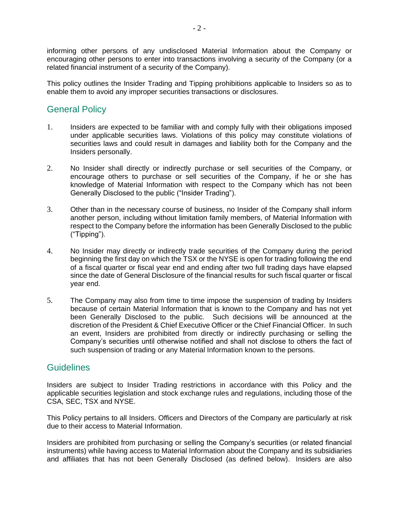informing other persons of any undisclosed Material Information about the Company or encouraging other persons to enter into transactions involving a security of the Company (or a related financial instrument of a security of the Company).

This policy outlines the Insider Trading and Tipping prohibitions applicable to Insiders so as to enable them to avoid any improper securities transactions or disclosures.

## General Policy

- 1. Insiders are expected to be familiar with and comply fully with their obligations imposed under applicable securities laws. Violations of this policy may constitute violations of securities laws and could result in damages and liability both for the Company and the Insiders personally.
- 2. No Insider shall directly or indirectly purchase or sell securities of the Company, or encourage others to purchase or sell securities of the Company, if he or she has knowledge of Material Information with respect to the Company which has not been Generally Disclosed to the public ("Insider Trading").
- 3. Other than in the necessary course of business, no Insider of the Company shall inform another person, including without limitation family members, of Material Information with respect to the Company before the information has been Generally Disclosed to the public ("Tipping").
- 4. No Insider may directly or indirectly trade securities of the Company during the period beginning the first day on which the TSX or the NYSE is open for trading following the end of a fiscal quarter or fiscal year end and ending after two full trading days have elapsed since the date of General Disclosure of the financial results for such fiscal quarter or fiscal year end.
- 5. The Company may also from time to time impose the suspension of trading by Insiders because of certain Material Information that is known to the Company and has not yet been Generally Disclosed to the public. Such decisions will be announced at the discretion of the President & Chief Executive Officer or the Chief Financial Officer. In such an event, Insiders are prohibited from directly or indirectly purchasing or selling the Company's securities until otherwise notified and shall not disclose to others the fact of such suspension of trading or any Material Information known to the persons.

### **Guidelines**

Insiders are subject to Insider Trading restrictions in accordance with this Policy and the applicable securities legislation and stock exchange rules and regulations, including those of the CSA, SEC, TSX and NYSE.

This Policy pertains to all Insiders. Officers and Directors of the Company are particularly at risk due to their access to Material Information.

Insiders are prohibited from purchasing or selling the Company's securities (or related financial instruments) while having access to Material Information about the Company and its subsidiaries and affiliates that has not been Generally Disclosed (as defined below). Insiders are also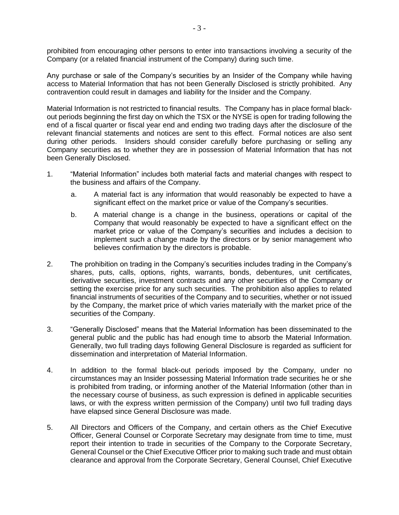prohibited from encouraging other persons to enter into transactions involving a security of the Company (or a related financial instrument of the Company) during such time.

Any purchase or sale of the Company's securities by an Insider of the Company while having access to Material Information that has not been Generally Disclosed is strictly prohibited. Any contravention could result in damages and liability for the Insider and the Company.

Material Information is not restricted to financial results. The Company has in place formal blackout periods beginning the first day on which the TSX or the NYSE is open for trading following the end of a fiscal quarter or fiscal year end and ending two trading days after the disclosure of the relevant financial statements and notices are sent to this effect. Formal notices are also sent during other periods. Insiders should consider carefully before purchasing or selling any Company securities as to whether they are in possession of Material Information that has not been Generally Disclosed.

- 1. "Material Information" includes both material facts and material changes with respect to the business and affairs of the Company.
	- a. A material fact is any information that would reasonably be expected to have a significant effect on the market price or value of the Company's securities.
	- b. A material change is a change in the business, operations or capital of the Company that would reasonably be expected to have a significant effect on the market price or value of the Company's securities and includes a decision to implement such a change made by the directors or by senior management who believes confirmation by the directors is probable.
- 2. The prohibition on trading in the Company's securities includes trading in the Company's shares, puts, calls, options, rights, warrants, bonds, debentures, unit certificates, derivative securities, investment contracts and any other securities of the Company or setting the exercise price for any such securities. The prohibition also applies to related financial instruments of securities of the Company and to securities, whether or not issued by the Company, the market price of which varies materially with the market price of the securities of the Company.
- 3. "Generally Disclosed" means that the Material Information has been disseminated to the general public and the public has had enough time to absorb the Material Information. Generally, two full trading days following General Disclosure is regarded as sufficient for dissemination and interpretation of Material Information.
- 4. In addition to the formal black-out periods imposed by the Company, under no circumstances may an Insider possessing Material Information trade securities he or she is prohibited from trading, or informing another of the Material Information (other than in the necessary course of business, as such expression is defined in applicable securities laws, or with the express written permission of the Company) until two full trading days have elapsed since General Disclosure was made.
- 5. All Directors and Officers of the Company, and certain others as the Chief Executive Officer, General Counsel or Corporate Secretary may designate from time to time, must report their intention to trade in securities of the Company to the Corporate Secretary, General Counsel or the Chief Executive Officer prior to making such trade and must obtain clearance and approval from the Corporate Secretary, General Counsel, Chief Executive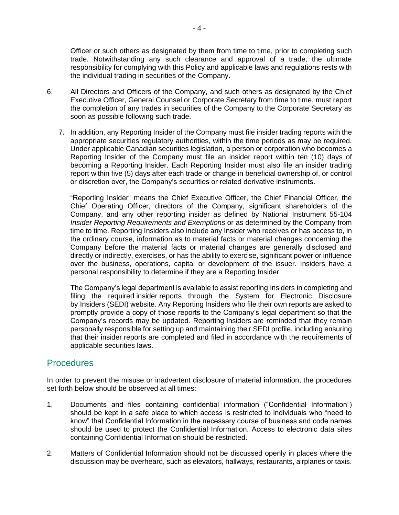Officer or such others as designated by them from time to time, prior to completing such trade. Notwithstanding any such clearance and approval of a trade, the ultimate responsibility for complying with this Policy and applicable laws and regulations rests with the individual trading in securities of the Company.

- 6. All Directors and Officers of the Company, and such others as designated by the Chief Executive Officer, General Counsel or Corporate Secretary from time to time, must report the completion of any trades in securities of the Company to the Corporate Secretary as soon as possible following such trade.
	- 7. In addition, any Reporting Insider of the Company must file insider trading reports with the appropriate securities regulatory authorities, within the time periods as may be required. Under applicable Canadian securities legislation, a person or corporation who becomes a Reporting Insider of the Company must file an insider report within ten (10) days of becoming a Reporting Insider. Each Reporting Insider must also file an insider trading report within five (5) days after each trade or change in beneficial ownership of, or control or discretion over, the Company's securities or related derivative instruments.

"Reporting Insider" means the Chief Executive Officer, the Chief Financial Officer, the Chief Operating Officer, directors of the Company, significant shareholders of the Company, and any other reporting insider as defined by National Instrument 55-104 *Insider Reporting Requirements and Exemptions* or as determined by the Company from time to time. Reporting Insiders also include any Insider who receives or has access to, in the ordinary course, information as to material facts or material changes concerning the Company before the material facts or material changes are generally disclosed and directly or indirectly, exercises, or has the ability to exercise, significant power or influence over the business, operations, capital or development of the issuer. Insiders have a personal responsibility to determine if they are a Reporting Insider.

The Company's legal department is available to assist reporting insiders in completing and filing the required insider reports through the System for Electronic Disclosure by Insiders (SEDI) website. Any Reporting Insiders who file their own reports are asked to promptly provide a copy of those reports to the Company's legal department so that the Company's records may be updated. Reporting Insiders are reminded that they remain personally responsible for setting up and maintaining their SEDI profile, including ensuring that their insider reports are completed and filed in accordance with the requirements of applicable securities laws.

#### Procedures

In order to prevent the misuse or inadvertent disclosure of material information, the procedures set forth below should be observed at all times:

- 1. Documents and files containing confidential information ("Confidential Information") should be kept in a safe place to which access is restricted to individuals who "need to know" that Confidential Information in the necessary course of business and code names should be used to protect the Confidential Information. Access to electronic data sites containing Confidential Information should be restricted.
- 2. Matters of Confidential Information should not be discussed openly in places where the discussion may be overheard, such as elevators, hallways, restaurants, airplanes or taxis.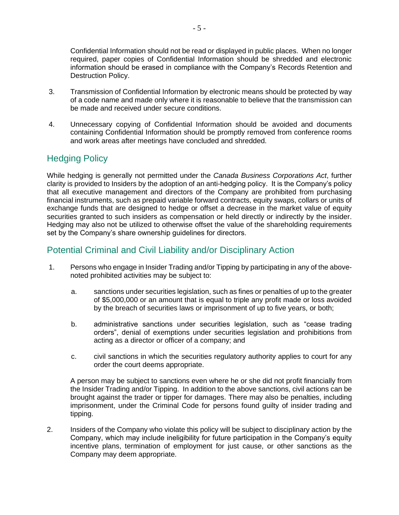Confidential Information should not be read or displayed in public places. When no longer required, paper copies of Confidential Information should be shredded and electronic information should be erased in compliance with the Company's Records Retention and Destruction Policy.

- 3. Transmission of Confidential Information by electronic means should be protected by way of a code name and made only where it is reasonable to believe that the transmission can be made and received under secure conditions.
- 4. Unnecessary copying of Confidential Information should be avoided and documents containing Confidential Information should be promptly removed from conference rooms and work areas after meetings have concluded and shredded.

## Hedging Policy

While hedging is generally not permitted under the *Canada Business Corporations Act*, further clarity is provided to Insiders by the adoption of an anti-hedging policy. It is the Company's policy that all executive management and directors of the Company are prohibited from purchasing financial instruments, such as prepaid variable forward contracts, equity swaps, collars or units of exchange funds that are designed to hedge or offset a decrease in the market value of equity securities granted to such insiders as compensation or held directly or indirectly by the insider. Hedging may also not be utilized to otherwise offset the value of the shareholding requirements set by the Company's share ownership guidelines for directors.

## Potential Criminal and Civil Liability and/or Disciplinary Action

- 1. Persons who engage in Insider Trading and/or Tipping by participating in any of the abovenoted prohibited activities may be subject to:
	- a. sanctions under securities legislation, such as fines or penalties of up to the greater of \$5,000,000 or an amount that is equal to triple any profit made or loss avoided by the breach of securities laws or imprisonment of up to five years, or both;
	- b. administrative sanctions under securities legislation, such as "cease trading orders", denial of exemptions under securities legislation and prohibitions from acting as a director or officer of a company; and
	- c. civil sanctions in which the securities regulatory authority applies to court for any order the court deems appropriate.

A person may be subject to sanctions even where he or she did not profit financially from the Insider Trading and/or Tipping. In addition to the above sanctions, civil actions can be brought against the trader or tipper for damages. There may also be penalties, including imprisonment, under the Criminal Code for persons found guilty of insider trading and tipping.

2. Insiders of the Company who violate this policy will be subject to disciplinary action by the Company, which may include ineligibility for future participation in the Company's equity incentive plans, termination of employment for just cause, or other sanctions as the Company may deem appropriate.